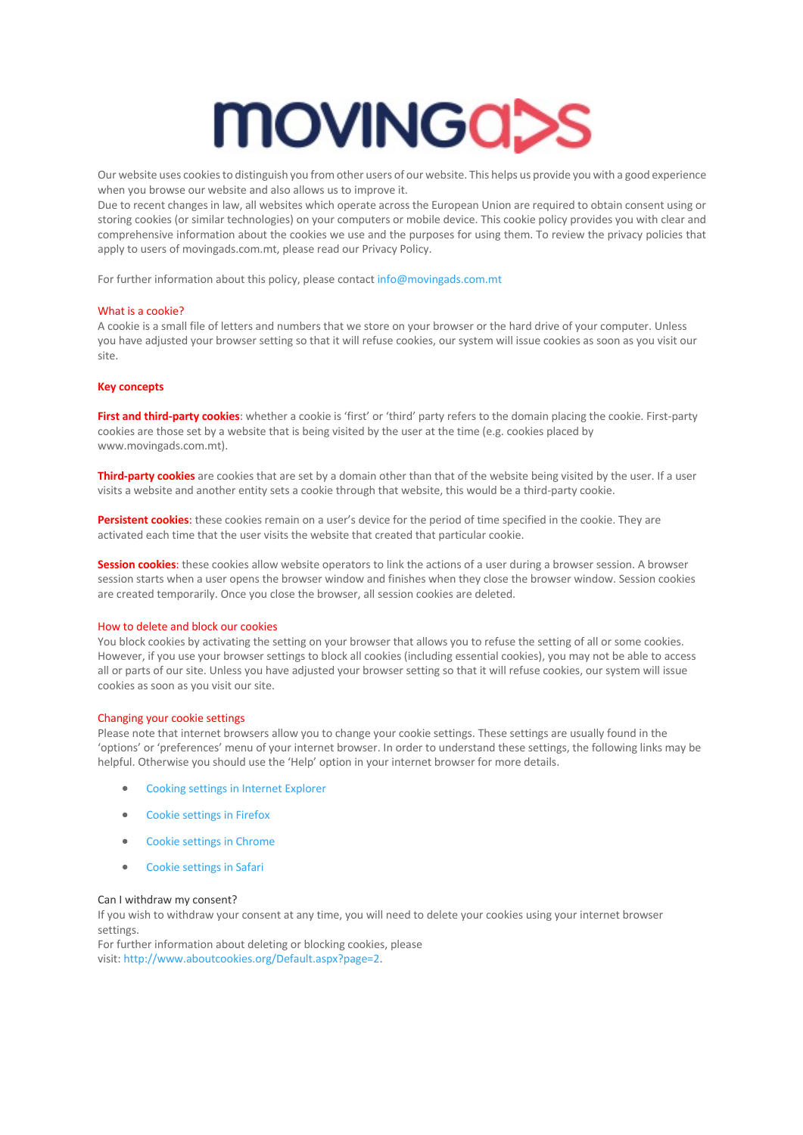

Our website uses cookies to distinguish you from other users of our website. This helps us provide you with a good experience when you browse our website and also allows us to improve it.

Due to recent changes in law, all websites which operate across the European Union are required to obtain consent using or storing cookies (or similar technologies) on your computers or mobile device. This cookie policy provides you with clear and comprehensive information about the cookies we use and the purposes for using them. To review the privacy policies that apply to users of movingads.com.mt, please read our Privacy Policy.

For further information about this policy, please contact info@movingads.com.mt

## What is a cookie?

A cookie is a small file of letters and numbers that we store on your browser or the hard drive of your computer. Unless you have adjusted your browser setting so that it will refuse cookies, our system will issue cookies as soon as you visit our site.

## **Key concepts**

**First and third-party cookies**: whether a cookie is 'first' or 'third' party refers to the domain placing the cookie. First-party cookies are those set by a website that is being visited by the user at the time (e.g. cookies placed by www.movingads.com.mt).

**Third-party cookies** are cookies that are set by a domain other than that of the website being visited by the user. If a user visits a website and another entity sets a cookie through that website, this would be a third-party cookie.

**Persistent cookies**: these cookies remain on a user's device for the period of time specified in the cookie. They are activated each time that the user visits the website that created that particular cookie.

**Session cookies**: these cookies allow website operators to link the actions of a user during a browser session. A browser session starts when a user opens the browser window and finishes when they close the browser window. Session cookies are created temporarily. Once you close the browser, all session cookies are deleted.

#### How to delete and block our cookies

You block cookies by activating the setting on your browser that allows you to refuse the setting of all or some cookies. However, if you use your browser settings to block all cookies (including essential cookies), you may not be able to access all or parts of our site. Unless you have adjusted your browser setting so that it will refuse cookies, our system will issue cookies as soon as you visit our site.

## Changing your cookie settings

Please note that internet browsers allow you to change your cookie settings. These settings are usually found in the 'options' or 'preferences' menu of your internet browser. In order to understand these settings, the following links may be helpful. Otherwise you should use the 'Help' option in your internet browser for more details.

- Cooking settings in Internet Explorer
- Cookie settings in Firefox
- Cookie settings in Chrome
- Cookie settings in Safari

#### Can I withdraw my consent?

If you wish to withdraw your consent at any time, you will need to delete your cookies using your internet browser settings.

For further information about deleting or blocking cookies, please visit: http://www.aboutcookies.org/Default.aspx?page=2.